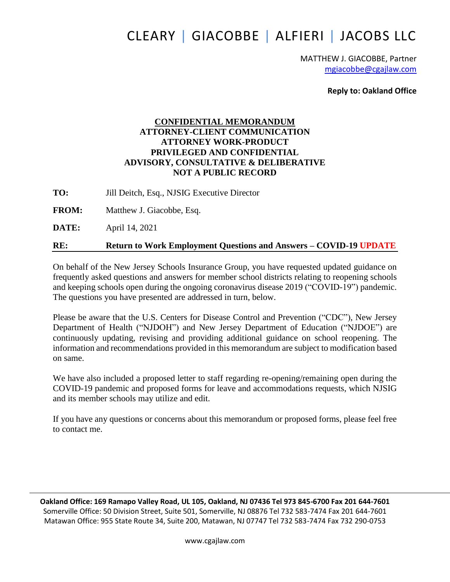# CLEARY | GIACOBBE | ALFIERI | JACOBS LLC

MATTHEW J. GIACOBBE, Partner [mgiacobbe@cgajlaw.com](mailto:mgiacobbe@cgajlaw.com)

**Reply to: Oakland Office**

## **CONFIDENTIAL MEMORANDUM ATTORNEY-CLIENT COMMUNICATION ATTORNEY WORK-PRODUCT PRIVILEGED AND CONFIDENTIAL ADVISORY, CONSULTATIVE & DELIBERATIVE NOT A PUBLIC RECORD**

**TO:** Jill Deitch, Esq., NJSIG Executive Director

**FROM:** Matthew J. Giacobbe, Esq.

**DATE:** April 14, 2021

## **RE: Return to Work Employment Questions and Answers – COVID-19 UPDATE**

On behalf of the New Jersey Schools Insurance Group, you have requested updated guidance on frequently asked questions and answers for member school districts relating to reopening schools and keeping schools open during the ongoing coronavirus disease 2019 ("COVID-19") pandemic. The questions you have presented are addressed in turn, below.

Please be aware that the U.S. Centers for Disease Control and Prevention ("CDC"), New Jersey Department of Health ("NJDOH") and New Jersey Department of Education ("NJDOE") are continuously updating, revising and providing additional guidance on school reopening. The information and recommendations provided in this memorandum are subject to modification based on same.

We have also included a proposed letter to staff regarding re-opening/remaining open during the COVID-19 pandemic and proposed forms for leave and accommodations requests, which NJSIG and its member schools may utilize and edit.

If you have any questions or concerns about this memorandum or proposed forms, please feel free to contact me.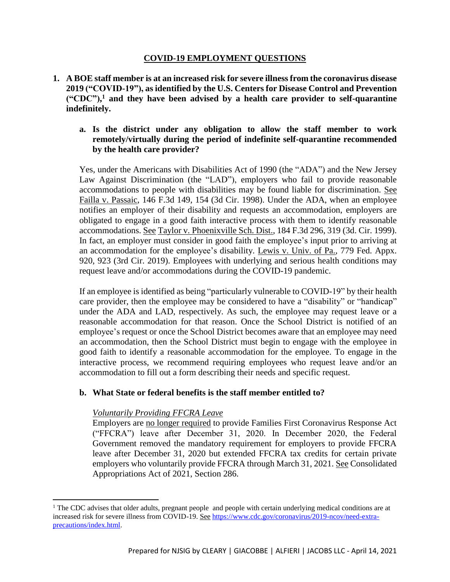#### **COVID-19 EMPLOYMENT QUESTIONS**

**1. A BOE staff member is at an increased risk for severe illnessfrom the coronavirus disease 2019 ("COVID-19"), as identified by the U.S. Centers for Disease Control and Prevention ("CDC"), <sup>1</sup> and they have been advised by a health care provider to self-quarantine indefinitely.**

#### **a. Is the district under any obligation to allow the staff member to work remotely/virtually during the period of indefinite self-quarantine recommended by the health care provider?**

Yes, under the Americans with Disabilities Act of 1990 (the "ADA") and the New Jersey Law Against Discrimination (the "LAD"), employers who fail to provide reasonable accommodations to people with disabilities may be found liable for discrimination. See Failla v. Passaic, 146 F.3d 149, 154 (3d Cir. 1998). Under the ADA, when an employee notifies an employer of their disability and requests an accommodation, employers are obligated to engage in a good faith interactive process with them to identify reasonable accommodations. See Taylor v. Phoenixville Sch. Dist., 184 F.3d 296, 319 (3d. Cir. 1999). In fact, an employer must consider in good faith the employee's input prior to arriving at an accommodation for the employee's disability. Lewis v. Univ. of Pa., 779 Fed. Appx. 920, 923 (3rd Cir. 2019). Employees with underlying and serious health conditions may request leave and/or accommodations during the COVID-19 pandemic.

If an employee is identified as being "particularly vulnerable to COVID-19" by their health care provider, then the employee may be considered to have a "disability" or "handicap" under the ADA and LAD, respectively. As such, the employee may request leave or a reasonable accommodation for that reason. Once the School District is notified of an employee's request or once the School District becomes aware that an employee may need an accommodation, then the School District must begin to engage with the employee in good faith to identify a reasonable accommodation for the employee. To engage in the interactive process, we recommend requiring employees who request leave and/or an accommodation to fill out a form describing their needs and specific request.

#### **b. What State or federal benefits is the staff member entitled to?**

#### *Voluntarily Providing FFCRA Leave*

 $\overline{\phantom{a}}$ 

Employers are no longer required to provide Families First Coronavirus Response Act ("FFCRA") leave after December 31, 2020. In December 2020, the Federal Government removed the mandatory requirement for employers to provide FFCRA leave after December 31, 2020 but extended FFCRA tax credits for certain private employers who voluntarily provide FFCRA through March 31, 2021. See Consolidated Appropriations Act of 2021, Section 286.

 $1$  The CDC advises that older adults, pregnant people and people with certain underlying medical conditions are at increased risk for severe illness from COVID-19. See [https://www.cdc.gov/coronavirus/2019-ncov/need-extra](https://www.cdc.gov/coronavirus/2019-ncov/need-extra-precautions/index.html)[precautions/index.html.](https://www.cdc.gov/coronavirus/2019-ncov/need-extra-precautions/index.html)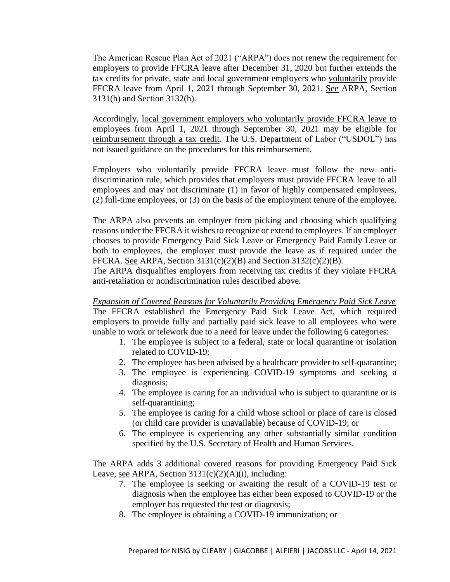The American Rescue Plan Act of 2021 ("ARPA") does not renew the requirement for employers to provide FFCRA leave after December 31, 2020 but further extends the tax credits for private, state and local government employers who voluntarily provide FFCRA leave from April 1, 2021 through September 30, 2021. See ARPA, Section 3131(h) and Section 3132(h).

Accordingly, local government employers who voluntarily provide FFCRA leave to employees from April 1, 2021 through September 30, 2021 may be eligible for reimbursement through a tax credit. The U.S. Department of Labor ("USDOL") has not issued guidance on the procedures for this reimbursement.

Employers who voluntarily provide FFCRA leave must follow the new antidiscrimination rule, which provides that employers must provide FFCRA leave to all employees and may not discriminate (1) in favor of highly compensated employees, (2) full-time employees, or (3) on the basis of the employment tenure of the employee.

The ARPA also prevents an employer from picking and choosing which qualifying reasons under the FFCRA it wishes to recognize or extend to employees. If an employer chooses to provide Emergency Paid Sick Leave or Emergency Paid Family Leave or both to employees, the employer must provide the leave as if required under the FFCRA. See ARPA, Section  $3131(c)(2)(B)$  and Section  $3132(c)(2)(B)$ .

The ARPA disqualifies employers from receiving tax credits if they violate FFCRA anti-retaliation or nondiscrimination rules described above.

*Expansion of Covered Reasons for Voluntarily Providing Emergency Paid Sick Leave* The FFCRA established the Emergency Paid Sick Leave Act, which required employers to provide fully and partially paid sick leave to all employees who were unable to work or telework due to a need for leave under the following 6 categories:

- 1. The employee is subject to a federal, state or local quarantine or isolation related to COVID-19;
- 2. The employee has been advised by a healthcare provider to self-quarantine;
- 3. The employee is experiencing COVID-19 symptoms and seeking a diagnosis;
- 4. The employee is caring for an individual who is subject to quarantine or is self-quarantining;
- 5. The employee is caring for a child whose school or place of care is closed (or child care provider is unavailable) because of COVID-19; or
- 6. The employee is experiencing any other substantially similar condition specified by the U.S. Secretary of Health and Human Services.

The ARPA adds 3 additional covered reasons for providing Emergency Paid Sick Leave, see ARPA, Section  $3131(c)(2)(A)(i)$ , including:

- 7. The employee is seeking or awaiting the result of a COVID-19 test or diagnosis when the employee has either been exposed to COVID-19 or the employer has requested the test or diagnosis;
- 8. The employee is obtaining a COVID-19 immunization; or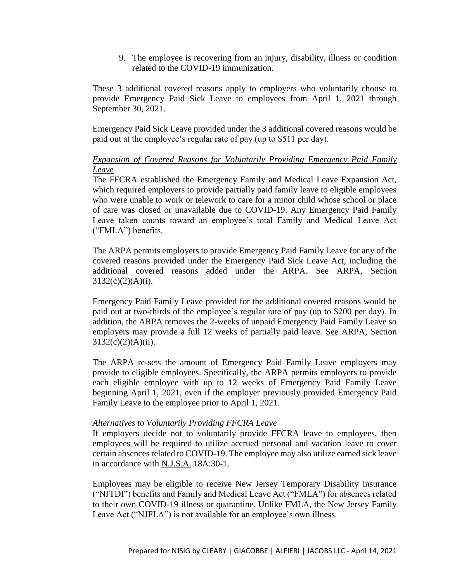9. The employee is recovering from an injury, disability, illness or condition related to the COVID-19 immunization.

These 3 additional covered reasons apply to employers who voluntarily choose to provide Emergency Paid Sick Leave to employees from April 1, 2021 through September 30, 2021.

Emergency Paid Sick Leave provided under the 3 additional covered reasons would be paid out at the employee's regular rate of pay (up to \$511 per day).

## *Expansion of Covered Reasons for Voluntarily Providing Emergency Paid Family Leave*

The FFCRA established the Emergency Family and Medical Leave Expansion Act, which required employers to provide partially paid family leave to eligible employees who were unable to work or telework to care for a minor child whose school or place of care was closed or unavailable due to COVID-19. Any Emergency Paid Family Leave taken counts toward an employee's total Family and Medical Leave Act ("FMLA") benefits.

The ARPA permits employers to provide Emergency Paid Family Leave for any of the covered reasons provided under the Emergency Paid Sick Leave Act, including the additional covered reasons added under the ARPA. See ARPA, Section  $3132(c)(2)(A)(i)$ .

Emergency Paid Family Leave provided for the additional covered reasons would be paid out at two-thirds of the employee's regular rate of pay (up to \$200 per day). In addition, the ARPA removes the 2-weeks of unpaid Emergency Paid Family Leave so employers may provide a full 12 weeks of partially paid leave. See ARPA, Section  $3132(c)(2)(A)(ii)$ .

The ARPA re-sets the amount of Emergency Paid Family Leave employers may provide to eligible employees. Specifically, the ARPA permits employers to provide each eligible employee with up to 12 weeks of Emergency Paid Family Leave beginning April 1, 2021, even if the employer previously provided Emergency Paid Family Leave to the employee prior to April 1, 2021.

#### *Alternatives to Voluntarily Providing FFCRA Leave*

If employers decide not to voluntarily provide FFCRA leave to employees, then employees will be required to utilize accrued personal and vacation leave to cover certain absences related to COVID-19. The employee may also utilize earned sick leave in accordance with N.J.S.A. 18A:30-1.

Employees may be eligible to receive New Jersey Temporary Disability Insurance ("NJTDI") benefits and Family and Medical Leave Act ("FMLA") for absences related to their own COVID-19 illness or quarantine. Unlike FMLA, the New Jersey Family Leave Act ("NJFLA") is not available for an employee's own illness.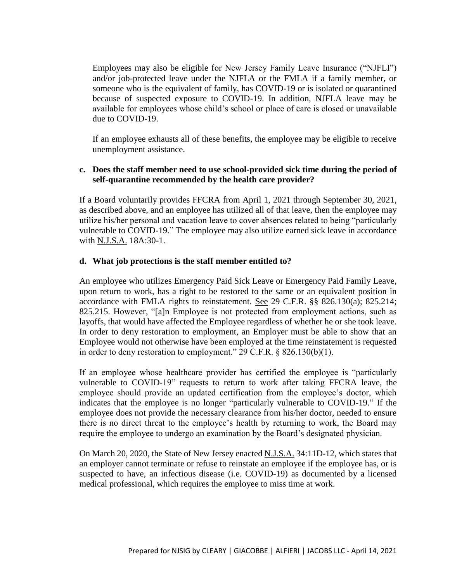Employees may also be eligible for New Jersey Family Leave Insurance ("NJFLI") and/or job-protected leave under the NJFLA or the FMLA if a family member, or someone who is the equivalent of family, has COVID-19 or is isolated or quarantined because of suspected exposure to COVID-19. In addition, NJFLA leave may be available for employees whose child's school or place of care is closed or unavailable due to COVID-19.

If an employee exhausts all of these benefits, the employee may be eligible to receive unemployment assistance.

## **c. Does the staff member need to use school-provided sick time during the period of self-quarantine recommended by the health care provider?**

If a Board voluntarily provides FFCRA from April 1, 2021 through September 30, 2021, as described above, and an employee has utilized all of that leave, then the employee may utilize his/her personal and vacation leave to cover absences related to being "particularly vulnerable to COVID-19." The employee may also utilize earned sick leave in accordance with N.J.S.A. 18A:30-1.

#### **d. What job protections is the staff member entitled to?**

An employee who utilizes Emergency Paid Sick Leave or Emergency Paid Family Leave, upon return to work, has a right to be restored to the same or an equivalent position in accordance with FMLA rights to reinstatement. See 29 C.F.R. §§ 826.130(a); 825.214; 825.215. However, "[a]n Employee is not protected from employment actions, such as layoffs, that would have affected the Employee regardless of whether he or she took leave. In order to deny restoration to employment, an Employer must be able to show that an Employee would not otherwise have been employed at the time reinstatement is requested in order to deny restoration to employment." 29 C.F.R. § 826.130(b)(1).

If an employee whose healthcare provider has certified the employee is "particularly vulnerable to COVID-19" requests to return to work after taking FFCRA leave, the employee should provide an updated certification from the employee's doctor, which indicates that the employee is no longer "particularly vulnerable to COVID-19." If the employee does not provide the necessary clearance from his/her doctor, needed to ensure there is no direct threat to the employee's health by returning to work, the Board may require the employee to undergo an examination by the Board's designated physician.

On March 20, 2020, the State of New Jersey enacted N.J.S.A. 34:11D-12, which states that an employer cannot terminate or refuse to reinstate an employee if the employee has, or is suspected to have, an infectious disease (i.e. COVID-19) as documented by a licensed medical professional, which requires the employee to miss time at work.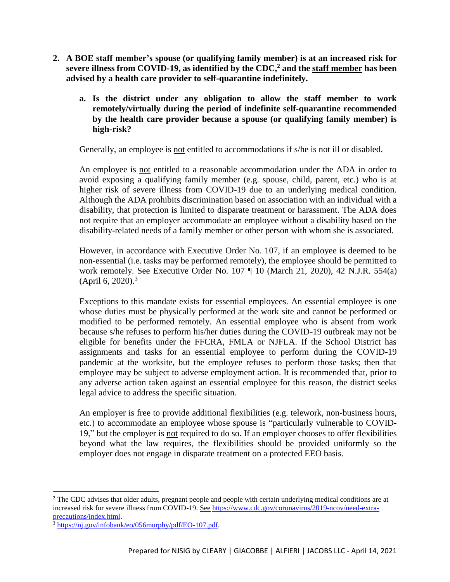- **2. A BOE staff member's spouse (or qualifying family member) is at an increased risk for severe illness from COVID-19, as identified by the CDC,<sup>2</sup> and the staff member has been advised by a health care provider to self-quarantine indefinitely.**
	- **a. Is the district under any obligation to allow the staff member to work remotely/virtually during the period of indefinite self-quarantine recommended by the health care provider because a spouse (or qualifying family member) is high-risk?**

Generally, an employee is not entitled to accommodations if s/he is not ill or disabled.

An employee is not entitled to a reasonable accommodation under the ADA in order to avoid exposing a qualifying family member (e.g. spouse, child, parent, etc.) who is at higher risk of severe illness from COVID-19 due to an underlying medical condition. Although the ADA prohibits discrimination based on association with an individual with a disability, that protection is limited to disparate treatment or harassment. The ADA does not require that an employer accommodate an employee without a disability based on the disability-related needs of a family member or other person with whom she is associated.

However, in accordance with Executive Order No. 107, if an employee is deemed to be non-essential (i.e. tasks may be performed remotely), the employee should be permitted to work remotely. See Executive Order No. 107 ¶ 10 (March 21, 2020), 42 N.J.R. 554(a)  $(April 6, 2020).$ <sup>3</sup>

Exceptions to this mandate exists for essential employees. An essential employee is one whose duties must be physically performed at the work site and cannot be performed or modified to be performed remotely. An essential employee who is absent from work because s/he refuses to perform his/her duties during the COVID-19 outbreak may not be eligible for benefits under the FFCRA, FMLA or NJFLA. If the School District has assignments and tasks for an essential employee to perform during the COVID-19 pandemic at the worksite, but the employee refuses to perform those tasks; then that employee may be subject to adverse employment action. It is recommended that, prior to any adverse action taken against an essential employee for this reason, the district seeks legal advice to address the specific situation.

An employer is free to provide additional flexibilities (e.g. telework, non-business hours, etc.) to accommodate an employee whose spouse is "particularly vulnerable to COVID-19," but the employer is not required to do so. If an employer chooses to offer flexibilities beyond what the law requires, the flexibilities should be provided uniformly so the employer does not engage in disparate treatment on a protected EEO basis.

 $2$  The CDC advises that older adults, pregnant people and people with certain underlying medical conditions are at increased risk for severe illness from COVID-19. See [https://www.cdc.gov/coronavirus/2019-ncov/need-extra](https://www.cdc.gov/coronavirus/2019-ncov/need-extra-precautions/index.html)[precautions/index.html.](https://www.cdc.gov/coronavirus/2019-ncov/need-extra-precautions/index.html)

 $3$  [https://nj.gov/infobank/eo/056murphy/pdf/EO-107.pdf.](https://nj.gov/infobank/eo/056murphy/pdf/EO-107.pdf)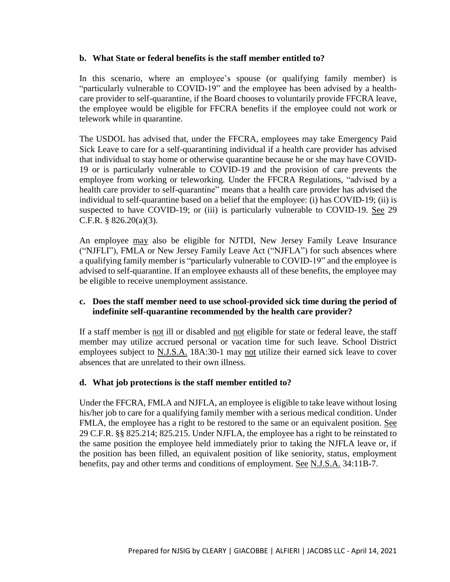#### **b. What State or federal benefits is the staff member entitled to?**

In this scenario, where an employee's spouse (or qualifying family member) is "particularly vulnerable to COVID-19" and the employee has been advised by a healthcare provider to self-quarantine, if the Board chooses to voluntarily provide FFCRA leave, the employee would be eligible for FFCRA benefits if the employee could not work or telework while in quarantine.

The USDOL has advised that, under the FFCRA, employees may take Emergency Paid Sick Leave to care for a self-quarantining individual if a health care provider has advised that individual to stay home or otherwise quarantine because he or she may have COVID-19 or is particularly vulnerable to COVID-19 and the provision of care prevents the employee from working or teleworking. Under the FFCRA Regulations, "advised by a health care provider to self-quarantine" means that a health care provider has advised the individual to self-quarantine based on a belief that the employee: (i) has COVID-19; (ii) is suspected to have COVID-19; or (iii) is particularly vulnerable to COVID-19. See 29 C.F.R. § 826.20(a)(3).

An employee may also be eligible for NJTDI, New Jersey Family Leave Insurance ("NJFLI"), FMLA or New Jersey Family Leave Act ("NJFLA") for such absences where a qualifying family member is "particularly vulnerable to COVID-19" and the employee is advised to self-quarantine. If an employee exhausts all of these benefits, the employee may be eligible to receive unemployment assistance.

## **c. Does the staff member need to use school-provided sick time during the period of indefinite self-quarantine recommended by the health care provider?**

If a staff member is not ill or disabled and not eligible for state or federal leave, the staff member may utilize accrued personal or vacation time for such leave. School District employees subject to N.J.S.A. 18A:30-1 may not utilize their earned sick leave to cover absences that are unrelated to their own illness.

#### **d. What job protections is the staff member entitled to?**

Under the FFCRA, FMLA and NJFLA, an employee is eligible to take leave without losing his/her job to care for a qualifying family member with a serious medical condition. Under FMLA, the employee has a right to be restored to the same or an equivalent position. See 29 C.F.R. §§ 825.214; 825.215. Under NJFLA, the employee has a right to be reinstated to the same position the employee held immediately prior to taking the NJFLA leave or, if the position has been filled, an equivalent position of like seniority, status, employment benefits, pay and other terms and conditions of employment. See N.J.S.A. 34:11B-7.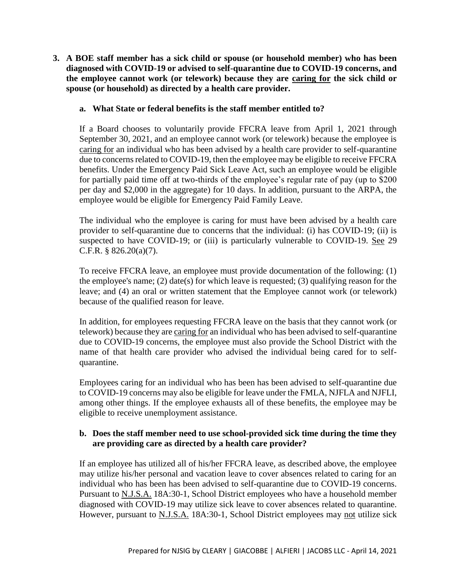**3. A BOE staff member has a sick child or spouse (or household member) who has been diagnosed with COVID-19 or advised to self-quarantine due to COVID-19 concerns, and the employee cannot work (or telework) because they are caring for the sick child or spouse (or household) as directed by a health care provider.**

## **a. What State or federal benefits is the staff member entitled to?**

If a Board chooses to voluntarily provide FFCRA leave from April 1, 2021 through September 30, 2021, and an employee cannot work (or telework) because the employee is caring for an individual who has been advised by a health care provider to self-quarantine due to concerns related to COVID-19, then the employee may be eligible to receive FFCRA benefits. Under the Emergency Paid Sick Leave Act, such an employee would be eligible for partially paid time off at two-thirds of the employee's regular rate of pay (up to \$200 per day and \$2,000 in the aggregate) for 10 days. In addition, pursuant to the ARPA, the employee would be eligible for Emergency Paid Family Leave.

The individual who the employee is caring for must have been advised by a health care provider to self-quarantine due to concerns that the individual: (i) has COVID-19; (ii) is suspected to have COVID-19; or (iii) is particularly vulnerable to COVID-19. See 29 C.F.R. § 826.20(a)(7).

To receive FFCRA leave, an employee must provide documentation of the following: (1) the employee's name; (2) date(s) for which leave is requested; (3) qualifying reason for the leave; and (4) an oral or written statement that the Employee cannot work (or telework) because of the qualified reason for leave.

In addition, for employees requesting FFCRA leave on the basis that they cannot work (or telework) because they are caring for an individual who has been advised to self-quarantine due to COVID-19 concerns, the employee must also provide the School District with the name of that health care provider who advised the individual being cared for to selfquarantine.

Employees caring for an individual who has been has been advised to self-quarantine due to COVID-19 concerns may also be eligible for leave under the FMLA, NJFLA and NJFLI, among other things. If the employee exhausts all of these benefits, the employee may be eligible to receive unemployment assistance.

#### **b. Does the staff member need to use school-provided sick time during the time they are providing care as directed by a health care provider?**

If an employee has utilized all of his/her FFCRA leave, as described above, the employee may utilize his/her personal and vacation leave to cover absences related to caring for an individual who has been has been advised to self-quarantine due to COVID-19 concerns. Pursuant to N.J.S.A. 18A:30-1, School District employees who have a household member diagnosed with COVID-19 may utilize sick leave to cover absences related to quarantine. However, pursuant to N.J.S.A. 18A:30-1, School District employees may not utilize sick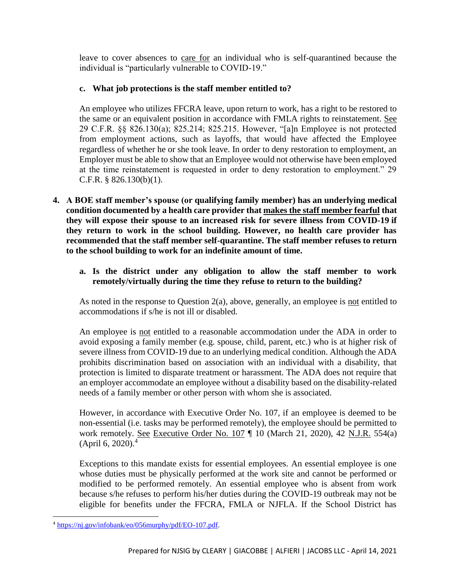leave to cover absences to care for an individual who is self-quarantined because the individual is "particularly vulnerable to COVID-19."

# **c. What job protections is the staff member entitled to?**

An employee who utilizes FFCRA leave, upon return to work, has a right to be restored to the same or an equivalent position in accordance with FMLA rights to reinstatement. See 29 C.F.R. §§ 826.130(a); 825.214; 825.215. However, "[a]n Employee is not protected from employment actions, such as layoffs, that would have affected the Employee regardless of whether he or she took leave. In order to deny restoration to employment, an Employer must be able to show that an Employee would not otherwise have been employed at the time reinstatement is requested in order to deny restoration to employment." 29 C.F.R. § 826.130(b)(1).

- **4. A BOE staff member's spouse (or qualifying family member) has an underlying medical condition documented by a health care provider that makes the staff member fearful that they will expose their spouse to an increased risk for severe illness from COVID-19 if they return to work in the school building. However, no health care provider has recommended that the staff member self-quarantine. The staff member refuses to return to the school building to work for an indefinite amount of time.** 
	- **a. Is the district under any obligation to allow the staff member to work remotely/virtually during the time they refuse to return to the building?**

As noted in the response to Question 2(a), above, generally, an employee is not entitled to accommodations if s/he is not ill or disabled.

An employee is not entitled to a reasonable accommodation under the ADA in order to avoid exposing a family member (e.g. spouse, child, parent, etc.) who is at higher risk of severe illness from COVID-19 due to an underlying medical condition. Although the ADA prohibits discrimination based on association with an individual with a disability, that protection is limited to disparate treatment or harassment. The ADA does not require that an employer accommodate an employee without a disability based on the disability-related needs of a family member or other person with whom she is associated.

However, in accordance with Executive Order No. 107, if an employee is deemed to be non-essential (i.e. tasks may be performed remotely), the employee should be permitted to work remotely. See Executive Order No. 107 ¶ 10 (March 21, 2020), 42 N.J.R. 554(a) (April 6, 2020).<sup>4</sup>

Exceptions to this mandate exists for essential employees. An essential employee is one whose duties must be physically performed at the work site and cannot be performed or modified to be performed remotely. An essential employee who is absent from work because s/he refuses to perform his/her duties during the COVID-19 outbreak may not be eligible for benefits under the FFCRA, FMLA or NJFLA. If the School District has

<sup>4</sup> [https://nj.gov/infobank/eo/056murphy/pdf/EO-107.pdf.](https://nj.gov/infobank/eo/056murphy/pdf/EO-107.pdf)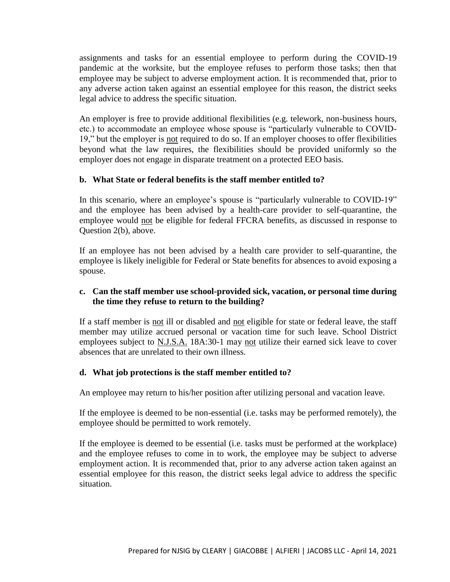assignments and tasks for an essential employee to perform during the COVID-19 pandemic at the worksite, but the employee refuses to perform those tasks; then that employee may be subject to adverse employment action. It is recommended that, prior to any adverse action taken against an essential employee for this reason, the district seeks legal advice to address the specific situation.

An employer is free to provide additional flexibilities (e.g. telework, non-business hours, etc.) to accommodate an employee whose spouse is "particularly vulnerable to COVID-19," but the employer is not required to do so. If an employer chooses to offer flexibilities beyond what the law requires, the flexibilities should be provided uniformly so the employer does not engage in disparate treatment on a protected EEO basis.

## **b. What State or federal benefits is the staff member entitled to?**

In this scenario, where an employee's spouse is "particularly vulnerable to COVID-19" and the employee has been advised by a health-care provider to self-quarantine, the employee would not be eligible for federal FFCRA benefits, as discussed in response to Question 2(b), above.

If an employee has not been advised by a health care provider to self-quarantine, the employee is likely ineligible for Federal or State benefits for absences to avoid exposing a spouse.

## **c. Can the staff member use school-provided sick, vacation, or personal time during the time they refuse to return to the building?**

If a staff member is not ill or disabled and not eligible for state or federal leave, the staff member may utilize accrued personal or vacation time for such leave. School District employees subject to N.J.S.A. 18A:30-1 may not utilize their earned sick leave to cover absences that are unrelated to their own illness.

#### **d. What job protections is the staff member entitled to?**

An employee may return to his/her position after utilizing personal and vacation leave.

If the employee is deemed to be non-essential (i.e. tasks may be performed remotely), the employee should be permitted to work remotely.

If the employee is deemed to be essential (i.e. tasks must be performed at the workplace) and the employee refuses to come in to work, the employee may be subject to adverse employment action. It is recommended that, prior to any adverse action taken against an essential employee for this reason, the district seeks legal advice to address the specific situation.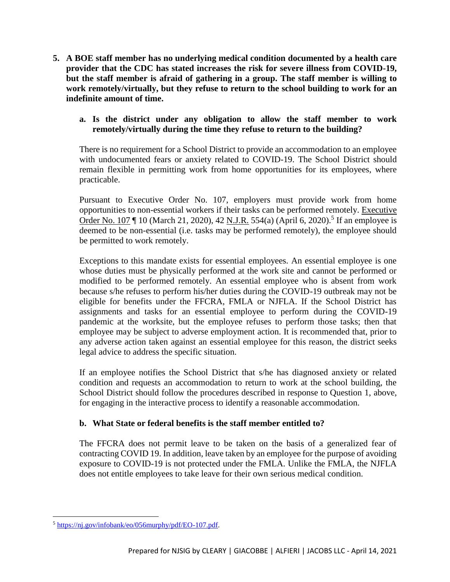**5. A BOE staff member has no underlying medical condition documented by a health care provider that the CDC has stated increases the risk for severe illness from COVID-19, but the staff member is afraid of gathering in a group. The staff member is willing to work remotely/virtually, but they refuse to return to the school building to work for an indefinite amount of time.**

## **a. Is the district under any obligation to allow the staff member to work remotely/virtually during the time they refuse to return to the building?**

There is no requirement for a School District to provide an accommodation to an employee with undocumented fears or anxiety related to COVID-19. The School District should remain flexible in permitting work from home opportunities for its employees, where practicable.

Pursuant to Executive Order No. 107, employers must provide work from home opportunities to non-essential workers if their tasks can be performed remotely. Executive Order No. 107 | 10 (March 21, 2020), 42 N.J.R. 554(a) (April 6, 2020).<sup>5</sup> If an employee is deemed to be non-essential (i.e. tasks may be performed remotely), the employee should be permitted to work remotely.

Exceptions to this mandate exists for essential employees. An essential employee is one whose duties must be physically performed at the work site and cannot be performed or modified to be performed remotely. An essential employee who is absent from work because s/he refuses to perform his/her duties during the COVID-19 outbreak may not be eligible for benefits under the FFCRA, FMLA or NJFLA. If the School District has assignments and tasks for an essential employee to perform during the COVID-19 pandemic at the worksite, but the employee refuses to perform those tasks; then that employee may be subject to adverse employment action. It is recommended that, prior to any adverse action taken against an essential employee for this reason, the district seeks legal advice to address the specific situation.

If an employee notifies the School District that s/he has diagnosed anxiety or related condition and requests an accommodation to return to work at the school building, the School District should follow the procedures described in response to Question 1, above, for engaging in the interactive process to identify a reasonable accommodation.

# **b. What State or federal benefits is the staff member entitled to?**

The FFCRA does not permit leave to be taken on the basis of a generalized fear of contracting COVID 19. In addition, leave taken by an employee for the purpose of avoiding exposure to COVID-19 is not protected under the FMLA. Unlike the FMLA, the NJFLA does not entitle employees to take leave for their own serious medical condition.

 $\overline{\phantom{a}}$ <sup>5</sup> [https://nj.gov/infobank/eo/056murphy/pdf/EO-107.pdf.](https://nj.gov/infobank/eo/056murphy/pdf/EO-107.pdf)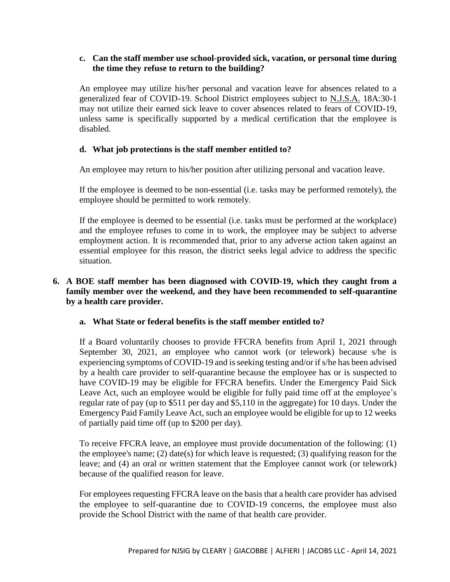#### **c. Can the staff member use school-provided sick, vacation, or personal time during the time they refuse to return to the building?**

An employee may utilize his/her personal and vacation leave for absences related to a generalized fear of COVID-19. School District employees subject to N.J.S.A. 18A:30-1 may not utilize their earned sick leave to cover absences related to fears of COVID-19, unless same is specifically supported by a medical certification that the employee is disabled.

## **d. What job protections is the staff member entitled to?**

An employee may return to his/her position after utilizing personal and vacation leave.

If the employee is deemed to be non-essential (i.e. tasks may be performed remotely), the employee should be permitted to work remotely.

If the employee is deemed to be essential (i.e. tasks must be performed at the workplace) and the employee refuses to come in to work, the employee may be subject to adverse employment action. It is recommended that, prior to any adverse action taken against an essential employee for this reason, the district seeks legal advice to address the specific situation.

## **6. A BOE staff member has been diagnosed with COVID-19, which they caught from a family member over the weekend, and they have been recommended to self-quarantine by a health care provider.**

#### **a. What State or federal benefits is the staff member entitled to?**

If a Board voluntarily chooses to provide FFCRA benefits from April 1, 2021 through September 30, 2021, an employee who cannot work (or telework) because s/he is experiencing symptoms of COVID-19 and is seeking testing and/or if s/he has been advised by a health care provider to self-quarantine because the employee has or is suspected to have COVID-19 may be eligible for FFCRA benefits. Under the Emergency Paid Sick Leave Act, such an employee would be eligible for fully paid time off at the employee's regular rate of pay (up to \$511 per day and \$5,110 in the aggregate) for 10 days. Under the Emergency Paid Family Leave Act, such an employee would be eligible for up to 12 weeks of partially paid time off (up to \$200 per day).

To receive FFCRA leave, an employee must provide documentation of the following: (1) the employee's name; (2) date(s) for which leave is requested; (3) qualifying reason for the leave; and (4) an oral or written statement that the Employee cannot work (or telework) because of the qualified reason for leave.

For employees requesting FFCRA leave on the basis that a health care provider has advised the employee to self-quarantine due to COVID-19 concerns, the employee must also provide the School District with the name of that health care provider.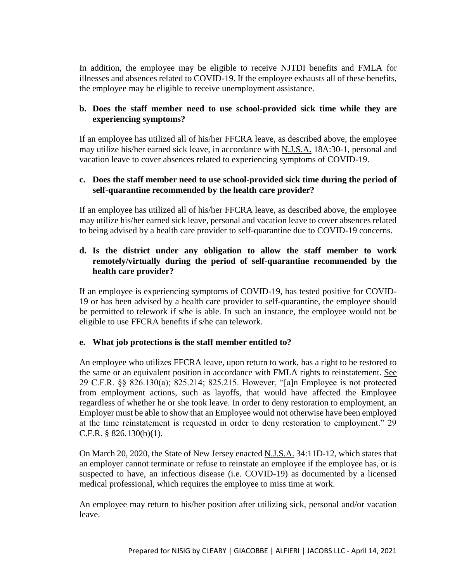In addition, the employee may be eligible to receive NJTDI benefits and FMLA for illnesses and absences related to COVID-19. If the employee exhausts all of these benefits, the employee may be eligible to receive unemployment assistance.

## **b. Does the staff member need to use school-provided sick time while they are experiencing symptoms?**

If an employee has utilized all of his/her FFCRA leave, as described above, the employee may utilize his/her earned sick leave, in accordance with N.J.S.A. 18A:30-1, personal and vacation leave to cover absences related to experiencing symptoms of COVID-19.

## **c. Does the staff member need to use school-provided sick time during the period of self-quarantine recommended by the health care provider?**

If an employee has utilized all of his/her FFCRA leave, as described above, the employee may utilize his/her earned sick leave, personal and vacation leave to cover absences related to being advised by a health care provider to self-quarantine due to COVID-19 concerns.

# **d. Is the district under any obligation to allow the staff member to work remotely/virtually during the period of self-quarantine recommended by the health care provider?**

If an employee is experiencing symptoms of COVID-19, has tested positive for COVID-19 or has been advised by a health care provider to self-quarantine, the employee should be permitted to telework if s/he is able. In such an instance, the employee would not be eligible to use FFCRA benefits if s/he can telework.

# **e. What job protections is the staff member entitled to?**

An employee who utilizes FFCRA leave, upon return to work, has a right to be restored to the same or an equivalent position in accordance with FMLA rights to reinstatement. See 29 C.F.R. §§ 826.130(a); 825.214; 825.215. However, "[a]n Employee is not protected from employment actions, such as layoffs, that would have affected the Employee regardless of whether he or she took leave. In order to deny restoration to employment, an Employer must be able to show that an Employee would not otherwise have been employed at the time reinstatement is requested in order to deny restoration to employment." 29 C.F.R. § 826.130(b)(1).

On March 20, 2020, the State of New Jersey enacted N.J.S.A. 34:11D-12, which states that an employer cannot terminate or refuse to reinstate an employee if the employee has, or is suspected to have, an infectious disease (i.e. COVID-19) as documented by a licensed medical professional, which requires the employee to miss time at work.

An employee may return to his/her position after utilizing sick, personal and/or vacation leave.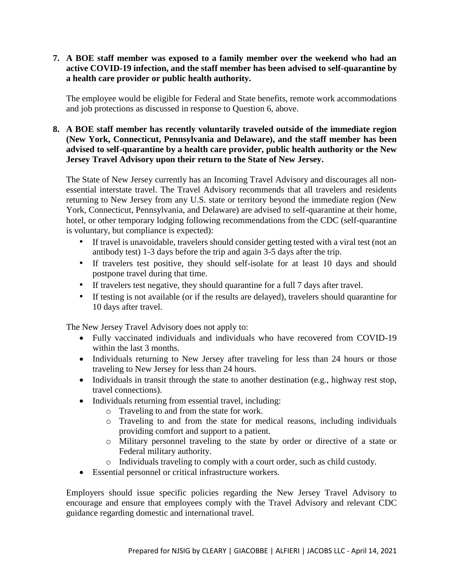## **7. A BOE staff member was exposed to a family member over the weekend who had an active COVID-19 infection, and the staff member has been advised to self-quarantine by a health care provider or public health authority.**

The employee would be eligible for Federal and State benefits, remote work accommodations and job protections as discussed in response to Question 6, above.

## **8. A BOE staff member has recently voluntarily traveled outside of the immediate region (New York, Connecticut, Pennsylvania and Delaware), and the staff member has been advised to self-quarantine by a health care provider, public health authority or the New Jersey Travel Advisory upon their return to the State of New Jersey.**

The State of New Jersey currently has an Incoming Travel Advisory and discourages all nonessential interstate travel. The Travel Advisory recommends that all travelers and residents returning to New Jersey from any U.S. state or territory beyond the immediate region (New York, Connecticut, Pennsylvania, and Delaware) are advised to self-quarantine at their home, hotel, or other temporary lodging following recommendations from the CDC (self-quarantine is voluntary, but compliance is expected):

- If travel is unavoidable, travelers should consider getting tested with a viral test (not an antibody test) 1-3 days before the trip and again 3-5 days after the trip.
- If travelers test positive, they should self-isolate for at least 10 days and should postpone travel during that time.
- If travelers test negative, they should quarantine for a full 7 days after travel.
- If testing is not available (or if the results are delayed), travelers should quarantine for 10 days after travel.

The New Jersey Travel Advisory does not apply to:

- Fully vaccinated individuals and individuals who have recovered from COVID-19 within the last 3 months.
- Individuals returning to New Jersey after traveling for less than 24 hours or those traveling to New Jersey for less than 24 hours.
- Individuals in transit through the state to another destination (e.g., highway rest stop, travel connections).
- Individuals returning from essential travel, including:
	- o Traveling to and from the state for work.
	- o Traveling to and from the state for medical reasons, including individuals providing comfort and support to a patient.
	- o Military personnel traveling to the state by order or directive of a state or Federal military authority.
	- o Individuals traveling to comply with a court order, such as child custody.
- Essential personnel or critical infrastructure workers.

Employers should issue specific policies regarding the New Jersey Travel Advisory to encourage and ensure that employees comply with the Travel Advisory and relevant CDC guidance regarding domestic and international travel.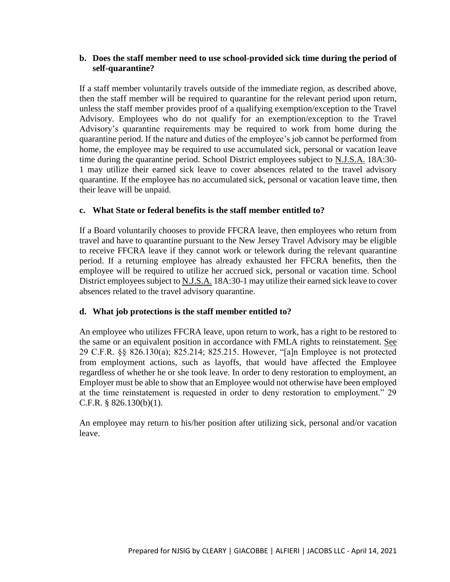## **b. Does the staff member need to use school-provided sick time during the period of self-quarantine?**

If a staff member voluntarily travels outside of the immediate region, as described above, then the staff member will be required to quarantine for the relevant period upon return, unless the staff member provides proof of a qualifying exemption/exception to the Travel Advisory. Employees who do not qualify for an exemption/exception to the Travel Advisory's quarantine requirements may be required to work from home during the quarantine period. If the nature and duties of the employee's job cannot be performed from home, the employee may be required to use accumulated sick, personal or vacation leave time during the quarantine period. School District employees subject to N.J.S.A. 18A:30- 1 may utilize their earned sick leave to cover absences related to the travel advisory quarantine. If the employee has no accumulated sick, personal or vacation leave time, then their leave will be unpaid.

#### **c. What State or federal benefits is the staff member entitled to?**

If a Board voluntarily chooses to provide FFCRA leave, then employees who return from travel and have to quarantine pursuant to the New Jersey Travel Advisory may be eligible to receive FFCRA leave if they cannot work or telework during the relevant quarantine period. If a returning employee has already exhausted her FFCRA benefits, then the employee will be required to utilize her accrued sick, personal or vacation time. School District employees subject to N.J.S.A. 18A:30-1 may utilize their earned sick leave to cover absences related to the travel advisory quarantine.

#### **d. What job protections is the staff member entitled to?**

An employee who utilizes FFCRA leave, upon return to work, has a right to be restored to the same or an equivalent position in accordance with FMLA rights to reinstatement. See 29 C.F.R. §§ 826.130(a); 825.214; 825.215. However, "[a]n Employee is not protected from employment actions, such as layoffs, that would have affected the Employee regardless of whether he or she took leave. In order to deny restoration to employment, an Employer must be able to show that an Employee would not otherwise have been employed at the time reinstatement is requested in order to deny restoration to employment." 29 C.F.R. § 826.130(b)(1).

An employee may return to his/her position after utilizing sick, personal and/or vacation leave.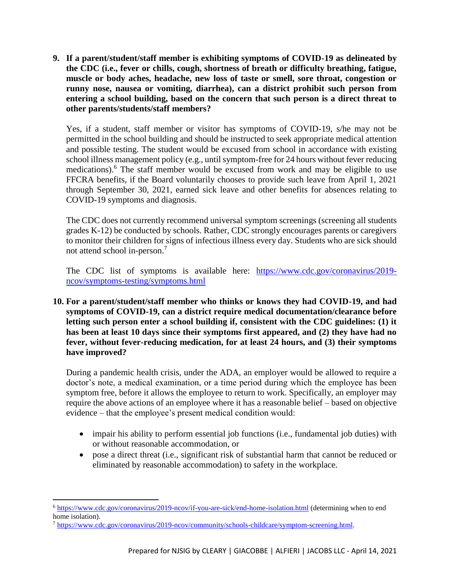**9. If a parent/student/staff member is exhibiting symptoms of COVID-19 as delineated by the CDC (i.e., fever or chills, cough, shortness of breath or difficulty breathing, fatigue, muscle or body aches, headache, new loss of taste or smell, sore throat, congestion or runny nose, nausea or vomiting, diarrhea), can a district prohibit such person from entering a school building, based on the concern that such person is a direct threat to other parents/students/staff members?**

Yes, if a student, staff member or visitor has symptoms of COVID-19, s/he may not be permitted in the school building and should be instructed to seek appropriate medical attention and possible testing. The student would be excused from school in accordance with existing school illness management policy (e.g., until symptom-free for 24 hours without fever reducing medications).<sup>6</sup> The staff member would be excused from work and may be eligible to use FFCRA benefits, if the Board voluntarily chooses to provide such leave from April 1, 2021 through September 30, 2021, earned sick leave and other benefits for absences relating to COVID-19 symptoms and diagnosis.

The CDC does not currently recommend universal symptom screenings (screening all students grades K-12) be conducted by schools. Rather, CDC strongly encourages parents or caregivers to monitor their children for signs of infectious illness every day. Students who are sick should not attend school in-person.<sup>7</sup>

The CDC list of symptoms is available here: [https://www.cdc.gov/coronavirus/2019](https://www.cdc.gov/coronavirus/2019-ncov/symptoms-testing/symptoms.html) [ncov/symptoms-testing/symptoms.html](https://www.cdc.gov/coronavirus/2019-ncov/symptoms-testing/symptoms.html)

**10. For a parent/student/staff member who thinks or knows they had COVID-19, and had symptoms of COVID-19, can a district require medical documentation/clearance before letting such person enter a school building if, consistent with the CDC guidelines: (1) it has been at least 10 days since their symptoms first appeared, and (2) they have had no fever, without fever-reducing medication, for at least 24 hours, and (3) their symptoms have improved?**

During a pandemic health crisis, under the ADA, an employer would be allowed to require a doctor's note, a medical examination, or a time period during which the employee has been symptom free, before it allows the employee to return to work. Specifically, an employer may require the above actions of an employee where it has a reasonable belief – based on objective evidence – that the employee's present medical condition would:

- impair his ability to perform essential job functions (i.e., fundamental job duties) with or without reasonable accommodation, or
- pose a direct threat (i.e., significant risk of substantial harm that cannot be reduced or eliminated by reasonable accommodation) to safety in the workplace.

<sup>6</sup> <https://www.cdc.gov/coronavirus/2019-ncov/if-you-are-sick/end-home-isolation.html> (determining when to end home isolation).

<sup>7</sup> [https://www.cdc.gov/coronavirus/2019-ncov/community/schools-childcare/symptom-screening.html.](https://www.cdc.gov/coronavirus/2019-ncov/community/schools-childcare/symptom-screening.html)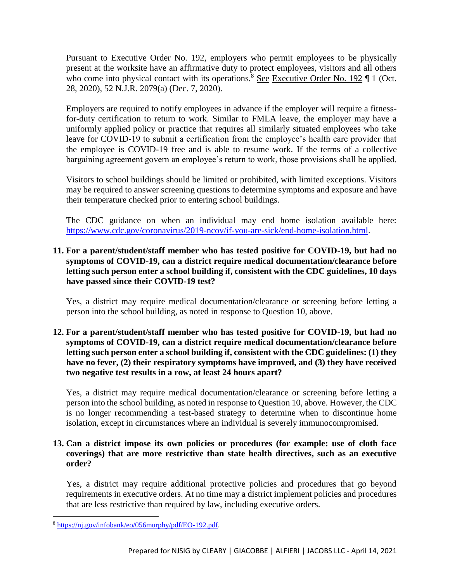Pursuant to Executive Order No. 192, employers who permit employees to be physically present at the worksite have an affirmative duty to protect employees, visitors and all others who come into physical contact with its operations.<sup>8</sup> See Executive Order No. 192  $\P$  1 (Oct. 28, 2020), 52 N.J.R. 2079(a) (Dec. 7, 2020).

Employers are required to notify employees in advance if the employer will require a fitnessfor-duty certification to return to work. Similar to FMLA leave, the employer may have a uniformly applied policy or practice that requires all similarly situated employees who take leave for COVID-19 to submit a certification from the employee's health care provider that the employee is COVID-19 free and is able to resume work. If the terms of a collective bargaining agreement govern an employee's return to work, those provisions shall be applied.

Visitors to school buildings should be limited or prohibited, with limited exceptions. Visitors may be required to answer screening questions to determine symptoms and exposure and have their temperature checked prior to entering school buildings.

The CDC guidance on when an individual may end home isolation available here: [https://www.cdc.gov/coronavirus/2019-ncov/if-you-are-sick/end-home-isolation.html.](https://www.cdc.gov/coronavirus/2019-ncov/if-you-are-sick/end-home-isolation.html)

# **11. For a parent/student/staff member who has tested positive for COVID-19, but had no symptoms of COVID-19, can a district require medical documentation/clearance before letting such person enter a school building if, consistent with the CDC guidelines, 10 days have passed since their COVID-19 test?**

Yes, a district may require medical documentation/clearance or screening before letting a person into the school building, as noted in response to Question 10, above.

## **12. For a parent/student/staff member who has tested positive for COVID-19, but had no symptoms of COVID-19, can a district require medical documentation/clearance before letting such person enter a school building if, consistent with the CDC guidelines: (1) they have no fever, (2) their respiratory symptoms have improved, and (3) they have received two negative test results in a row, at least 24 hours apart?**

Yes, a district may require medical documentation/clearance or screening before letting a person into the school building, as noted in response to Question 10, above. However, the CDC is no longer recommending a test-based strategy to determine when to discontinue home isolation, except in circumstances where an individual is severely immunocompromised.

## **13. Can a district impose its own policies or procedures (for example: use of cloth face coverings) that are more restrictive than state health directives, such as an executive order?**

Yes, a district may require additional protective policies and procedures that go beyond requirements in executive orders. At no time may a district implement policies and procedures that are less restrictive than required by law, including executive orders.

<sup>8</sup> [https://nj.gov/infobank/eo/056murphy/pdf/EO-192.pdf.](https://nj.gov/infobank/eo/056murphy/pdf/EO-192.pdf)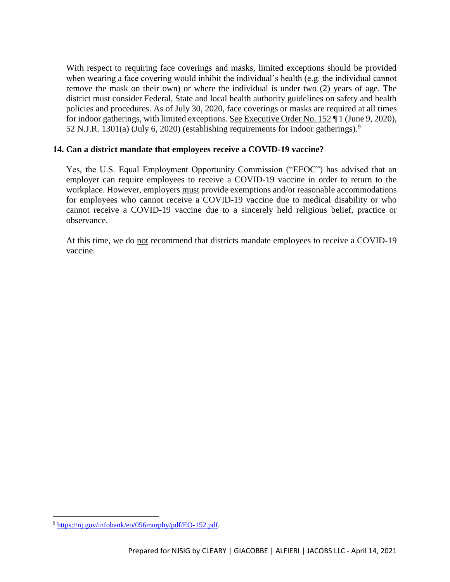With respect to requiring face coverings and masks, limited exceptions should be provided when wearing a face covering would inhibit the individual's health (e.g. the individual cannot remove the mask on their own) or where the individual is under two (2) years of age. The district must consider Federal, State and local health authority guidelines on safety and health policies and procedures. As of July 30, 2020, face coverings or masks are required at all times for indoor gatherings, with limited exceptions. See Executive Order No. 152 ¶ 1 (June 9, 2020), 52 N.J.R. 1301(a) (July 6, 2020) (establishing requirements for indoor gatherings).<sup>9</sup>

## **14. Can a district mandate that employees receive a COVID-19 vaccine?**

Yes, the U.S. Equal Employment Opportunity Commission ("EEOC") has advised that an employer can require employees to receive a COVID-19 vaccine in order to return to the workplace. However, employers must provide exemptions and/or reasonable accommodations for employees who cannot receive a COVID-19 vaccine due to medical disability or who cannot receive a COVID-19 vaccine due to a sincerely held religious belief, practice or observance.

At this time, we do not recommend that districts mandate employees to receive a COVID-19 vaccine.

<sup>9</sup> [https://nj.gov/infobank/eo/056murphy/pdf/EO-152.pdf.](https://nj.gov/infobank/eo/056murphy/pdf/EO-152.pdf)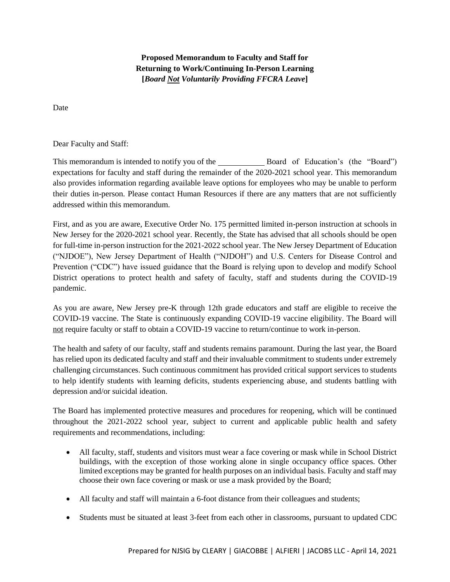**Proposed Memorandum to Faculty and Staff for Returning to Work/Continuing In-Person Learning [***Board Not Voluntarily Providing FFCRA Leave***]**

Date

Dear Faculty and Staff:

This memorandum is intended to notify you of the Board of Education's (the "Board") expectations for faculty and staff during the remainder of the 2020-2021 school year. This memorandum also provides information regarding available leave options for employees who may be unable to perform their duties in-person. Please contact Human Resources if there are any matters that are not sufficiently addressed within this memorandum.

First, and as you are aware, Executive Order No. 175 permitted limited in-person instruction at schools in New Jersey for the 2020-2021 school year. Recently, the State has advised that all schools should be open for full-time in-person instruction for the 2021-2022 school year. The New Jersey Department of Education ("NJDOE"), New Jersey Department of Health ("NJDOH") and U.S. Centers for Disease Control and Prevention ("CDC") have issued guidance that the Board is relying upon to develop and modify School District operations to protect health and safety of faculty, staff and students during the COVID-19 pandemic.

As you are aware, New Jersey pre-K through 12th grade educators and staff are eligible to receive the COVID-19 vaccine. The State is continuously expanding COVID-19 vaccine eligibility. The Board will not require faculty or staff to obtain a COVID-19 vaccine to return/continue to work in-person.

The health and safety of our faculty, staff and students remains paramount. During the last year, the Board has relied upon its dedicated faculty and staff and their invaluable commitment to students under extremely challenging circumstances. Such continuous commitment has provided critical support services to students to help identify students with learning deficits, students experiencing abuse, and students battling with depression and/or suicidal ideation.

The Board has implemented protective measures and procedures for reopening, which will be continued throughout the 2021-2022 school year, subject to current and applicable public health and safety requirements and recommendations, including:

- All faculty, staff, students and visitors must wear a face covering or mask while in School District buildings, with the exception of those working alone in single occupancy office spaces. Other limited exceptions may be granted for health purposes on an individual basis. Faculty and staff may choose their own face covering or mask or use a mask provided by the Board;
- All faculty and staff will maintain a 6-foot distance from their colleagues and students;
- Students must be situated at least 3-feet from each other in classrooms, pursuant to updated CDC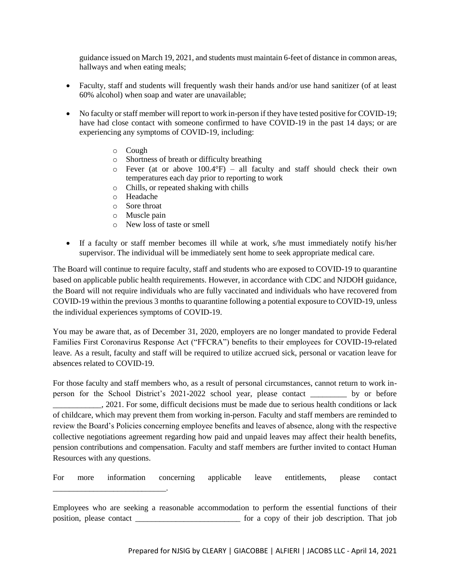guidance issued on March 19, 2021, and students must maintain 6-feet of distance in common areas, hallways and when eating meals;

- Faculty, staff and students will frequently wash their hands and/or use hand sanitizer (of at least 60% alcohol) when soap and water are unavailable;
- No faculty or staff member will report to work in-person if they have tested positive for COVID-19; have had close contact with someone confirmed to have COVID-19 in the past 14 days; or are experiencing any symptoms of COVID-19, including:
	- o Cough
	- o Shortness of breath or difficulty breathing
	- $\circ$  Fever (at or above 100.4°F) all faculty and staff should check their own temperatures each day prior to reporting to work
	- o Chills, or repeated shaking with chills
	- o Headache
	- o Sore throat
	- o Muscle pain

\_\_\_\_\_\_\_\_\_\_\_\_\_\_\_\_\_\_\_\_\_\_\_\_\_\_\_\_.

- o New loss of taste or smell
- If a faculty or staff member becomes ill while at work, s/he must immediately notify his/her supervisor. The individual will be immediately sent home to seek appropriate medical care.

The Board will continue to require faculty, staff and students who are exposed to COVID-19 to quarantine based on applicable public health requirements. However, in accordance with CDC and NJDOH guidance, the Board will not require individuals who are fully vaccinated and individuals who have recovered from COVID-19 within the previous 3 months to quarantine following a potential exposure to COVID-19, unless the individual experiences symptoms of COVID-19.

You may be aware that, as of December 31, 2020, employers are no longer mandated to provide Federal Families First Coronavirus Response Act ("FFCRA") benefits to their employees for COVID-19-related leave. As a result, faculty and staff will be required to utilize accrued sick, personal or vacation leave for absences related to COVID-19.

For those faculty and staff members who, as a result of personal circumstances, cannot return to work inperson for the School District's 2021-2022 school year, please contact by or before \_\_\_\_\_\_\_\_\_\_\_\_, 2021. For some, difficult decisions must be made due to serious health conditions or lack of childcare, which may prevent them from working in-person. Faculty and staff members are reminded to review the Board's Policies concerning employee benefits and leaves of absence, along with the respective collective negotiations agreement regarding how paid and unpaid leaves may affect their health benefits, pension contributions and compensation. Faculty and staff members are further invited to contact Human Resources with any questions.

For more information concerning applicable leave entitlements, please contact

Employees who are seeking a reasonable accommodation to perform the essential functions of their position, please contact \_\_\_\_\_\_\_\_\_\_\_\_\_\_\_\_\_\_\_\_\_\_\_\_\_\_ for a copy of their job description. That job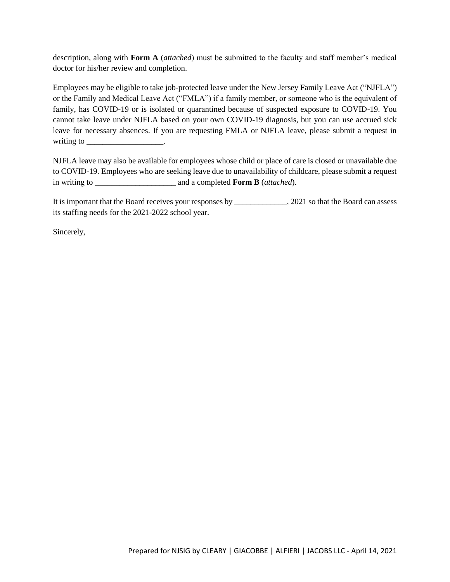description, along with **Form A** (*attached*) must be submitted to the faculty and staff member's medical doctor for his/her review and completion.

Employees may be eligible to take job-protected leave under the New Jersey Family Leave Act ("NJFLA") or the Family and Medical Leave Act ("FMLA") if a family member, or someone who is the equivalent of family, has COVID-19 or is isolated or quarantined because of suspected exposure to COVID-19. You cannot take leave under NJFLA based on your own COVID-19 diagnosis, but you can use accrued sick leave for necessary absences. If you are requesting FMLA or NJFLA leave, please submit a request in writing to the control of the control of the control of the control of the control of the control of the control of the control of the control of the control of the control of the control of the control of the control of t

NJFLA leave may also be available for employees whose child or place of care is closed or unavailable due to COVID-19. Employees who are seeking leave due to unavailability of childcare, please submit a request in writing to \_\_\_\_\_\_\_\_\_\_\_\_\_\_\_\_\_\_\_\_ and a completed **Form B** (*attached*).

It is important that the Board receives your responses by \_\_\_\_\_\_\_\_\_\_\_\_\_, 2021 so that the Board can assess its staffing needs for the 2021-2022 school year.

Sincerely,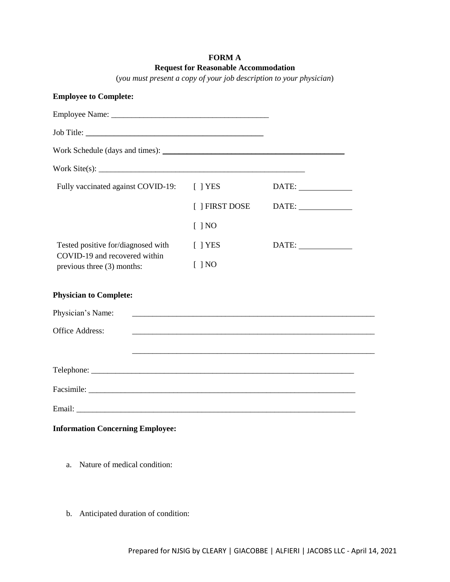## **FORM A Request for Reasonable Accommodation**

(*you must present a copy of your job description to your physician*)

| <b>Employee to Complete:</b>                                                                      |                                                                                                                       |       |
|---------------------------------------------------------------------------------------------------|-----------------------------------------------------------------------------------------------------------------------|-------|
|                                                                                                   |                                                                                                                       |       |
|                                                                                                   |                                                                                                                       |       |
|                                                                                                   |                                                                                                                       |       |
| Work Site(s): $\frac{1}{2}$ Mork Site(s):                                                         |                                                                                                                       |       |
| Fully vaccinated against COVID-19:                                                                | $[$ $]$ YES                                                                                                           | DATE: |
|                                                                                                   | [ ] FIRST DOSE                                                                                                        | DATE: |
|                                                                                                   | $[$ ] NO                                                                                                              |       |
| Tested positive for/diagnosed with<br>COVID-19 and recovered within<br>previous three (3) months: | $[$   YES                                                                                                             | DATE: |
|                                                                                                   | $[$ $]$ NO                                                                                                            |       |
| <b>Physician to Complete:</b>                                                                     |                                                                                                                       |       |
| Physician's Name:                                                                                 |                                                                                                                       |       |
| <b>Office Address:</b>                                                                            | <u> 1989 - Johann Barn, amerikan bernama di sebagai bernama di sebagai bernama di sebagai bernama di sebagai bern</u> |       |
|                                                                                                   |                                                                                                                       |       |
|                                                                                                   |                                                                                                                       |       |
|                                                                                                   |                                                                                                                       |       |
|                                                                                                   |                                                                                                                       |       |
| <b>Information Concerning Employee:</b>                                                           |                                                                                                                       |       |

- a. Nature of medical condition:
- b. Anticipated duration of condition: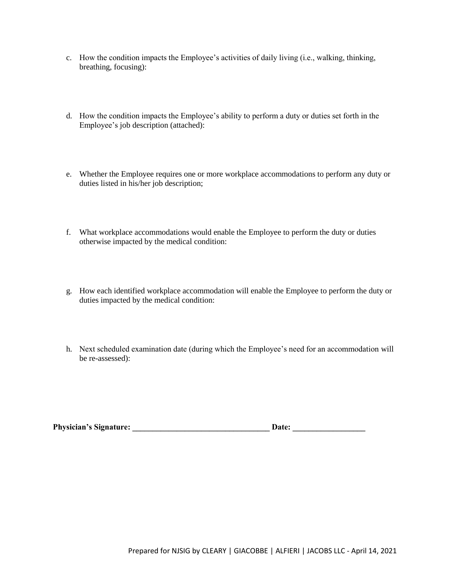- c. How the condition impacts the Employee's activities of daily living (i.e., walking, thinking, breathing, focusing):
- d. How the condition impacts the Employee's ability to perform a duty or duties set forth in the Employee's job description (attached):
- e. Whether the Employee requires one or more workplace accommodations to perform any duty or duties listed in his/her job description;
- f. What workplace accommodations would enable the Employee to perform the duty or duties otherwise impacted by the medical condition:
- g. How each identified workplace accommodation will enable the Employee to perform the duty or duties impacted by the medical condition:
- h. Next scheduled examination date (during which the Employee's need for an accommodation will be re-assessed):

| <b>Physician's Signature:</b> | <b>Date:</b> |  |
|-------------------------------|--------------|--|
|-------------------------------|--------------|--|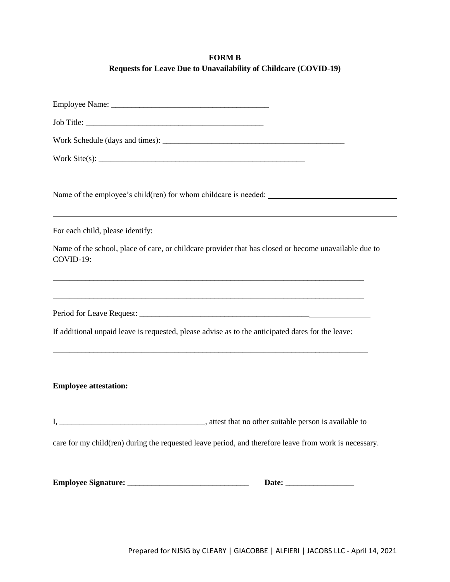# **FORM B Requests for Leave Due to Unavailability of Childcare (COVID-19)**

| Work Site(s): $\qquad \qquad$                                                                                        |
|----------------------------------------------------------------------------------------------------------------------|
|                                                                                                                      |
| ,我们也不会有什么。""我们的人,我们也不会有什么?""我们的人,我们也不会有什么?""我们的人,我们也不会有什么?""我们的人,我们也不会有什么?""我们的人<br>For each child, please identify: |
| Name of the school, place of care, or childcare provider that has closed or become unavailable due to<br>COVID-19:   |
| If additional unpaid leave is requested, please advise as to the anticipated dates for the leave:                    |
| <b>Employee attestation:</b>                                                                                         |
|                                                                                                                      |
| care for my child(ren) during the requested leave period, and therefore leave from work is necessary.                |
|                                                                                                                      |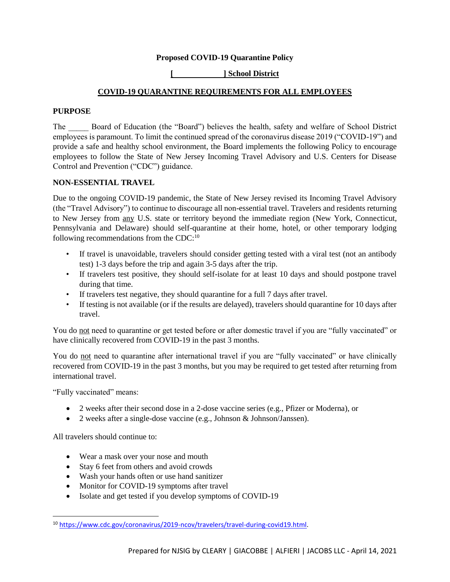#### **Proposed COVID-19 Quarantine Policy**

#### **[ ] School District**

#### **COVID-19 QUARANTINE REQUIREMENTS FOR ALL EMPLOYEES**

#### **PURPOSE**

The \_\_\_\_\_ Board of Education (the "Board") believes the health, safety and welfare of School District employees is paramount. To limit the continued spread of the coronavirus disease 2019 ("COVID-19") and provide a safe and healthy school environment, the Board implements the following Policy to encourage employees to follow the State of New Jersey Incoming Travel Advisory and U.S. Centers for Disease Control and Prevention ("CDC") guidance.

#### **NON-ESSENTIAL TRAVEL**

Due to the ongoing COVID-19 pandemic, the State of New Jersey revised its Incoming Travel Advisory (the "Travel Advisory") to continue to discourage all non-essential travel. Travelers and residents returning to New Jersey from any U.S. state or territory beyond the immediate region (New York, Connecticut, Pennsylvania and Delaware) should self-quarantine at their home, hotel, or other temporary lodging following recommendations from the CDC: $^{10}$ 

- If travel is unavoidable, travelers should consider getting tested with a viral test (not an antibody test) 1-3 days before the trip and again 3-5 days after the trip.
- If travelers test positive, they should self-isolate for at least 10 days and should postpone travel during that time.
- If travelers test negative, they should quarantine for a full 7 days after travel.
- If testing is not available (or if the results are delayed), travelers should quarantine for 10 days after travel.

You do not need to quarantine or get tested before or after domestic travel if you are "fully vaccinated" or have clinically recovered from COVID-19 in the past 3 months.

You do not need to quarantine after international travel if you are "fully vaccinated" or have clinically recovered from COVID-19 in the past 3 months, but you may be required to get tested after returning from international travel.

"Fully vaccinated" means:

- 2 weeks after their second dose in a 2-dose vaccine series (e.g., Pfizer or Moderna), or
- 2 weeks after a single-dose vaccine (e.g., Johnson & Johnson/Janssen).

All travelers should continue to:

- Wear a mask over your nose and mouth
- Stay 6 feet from others and avoid crowds
- Wash your hands often or use hand sanitizer
- Monitor for COVID-19 symptoms after travel
- Isolate and get tested if you develop symptoms of COVID-19

<sup>10</sup> [https://www.cdc.gov/coronavirus/2019-ncov/travelers/travel-during-covid19.html.](https://www.cdc.gov/coronavirus/2019-ncov/travelers/travel-during-covid19.html)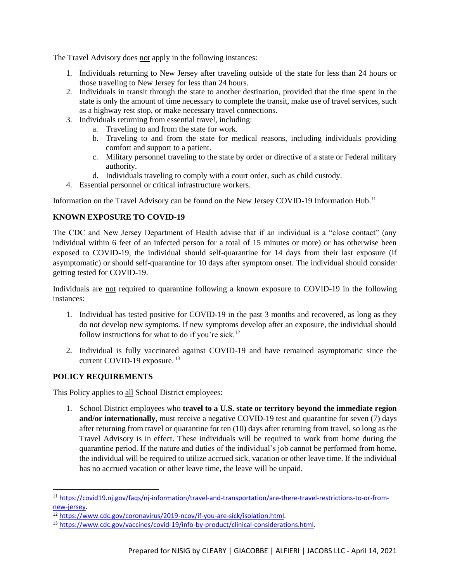The Travel Advisory does not apply in the following instances:

- 1. Individuals returning to New Jersey after traveling outside of the state for less than 24 hours or those traveling to New Jersey for less than 24 hours.
- 2. Individuals in transit through the state to another destination, provided that the time spent in the state is only the amount of time necessary to complete the transit, make use of travel services, such as a highway rest stop, or make necessary travel connections.
- 3. Individuals returning from essential travel, including:
	- a. Traveling to and from the state for work.
	- b. Traveling to and from the state for medical reasons, including individuals providing comfort and support to a patient.
	- c. Military personnel traveling to the state by order or directive of a state or Federal military authority.
	- d. Individuals traveling to comply with a court order, such as child custody.
- 4. Essential personnel or critical infrastructure workers.

Information on the Travel Advisory can be found on the New Jersey COVID-19 Information Hub.<sup>11</sup>

## **KNOWN EXPOSURE TO COVID-19**

The CDC and New Jersey Department of Health advise that if an individual is a "close contact" (any individual within 6 feet of an infected person for a total of 15 minutes or more) or has otherwise been exposed to COVID-19, the individual should self-quarantine for 14 days from their last exposure (if asymptomatic) or should self-quarantine for 10 days after symptom onset. The individual should consider getting tested for COVID-19.

Individuals are not required to quarantine following a known exposure to COVID-19 in the following instances:

- 1. Individual has tested positive for COVID-19 in the past 3 months and recovered, as long as they do not develop new symptoms. If new symptoms develop after an exposure, the individual should follow instructions for what to do if you're sick.<sup>12</sup>
- 2. Individual is fully vaccinated against COVID-19 and have remained asymptomatic since the current COVID-19 exposure.<sup>13</sup>

# **POLICY REQUIREMENTS**

 $\overline{a}$ 

This Policy applies to all School District employees:

1. School District employees who **travel to a U.S. state or territory beyond the immediate region and/or internationally**, must receive a negative COVID-19 test and quarantine for seven (7) days after returning from travel or quarantine for ten (10) days after returning from travel, so long as the Travel Advisory is in effect. These individuals will be required to work from home during the quarantine period. If the nature and duties of the individual's job cannot be performed from home, the individual will be required to utilize accrued sick, vacation or other leave time. If the individual has no accrued vacation or other leave time, the leave will be unpaid.

<sup>11</sup> [https://covid19.nj.gov/faqs/nj-information/travel-and-transportation/are-there-travel-restrictions-to-or-from](https://covid19.nj.gov/faqs/nj-information/travel-and-transportation/are-there-travel-restrictions-to-or-from-new-jersey)[new-jersey.](https://covid19.nj.gov/faqs/nj-information/travel-and-transportation/are-there-travel-restrictions-to-or-from-new-jersey)

<sup>12</sup> [https://www.cdc.gov/coronavirus/2019-ncov/if-you-are-sick/isolation.html.](https://www.cdc.gov/coronavirus/2019-ncov/if-you-are-sick/isolation.html)

<sup>13</sup> [https://www.cdc.gov/vaccines/covid-19/info-by-product/clinical-considerations.html.](https://www.cdc.gov/vaccines/covid-19/info-by-product/clinical-considerations.html)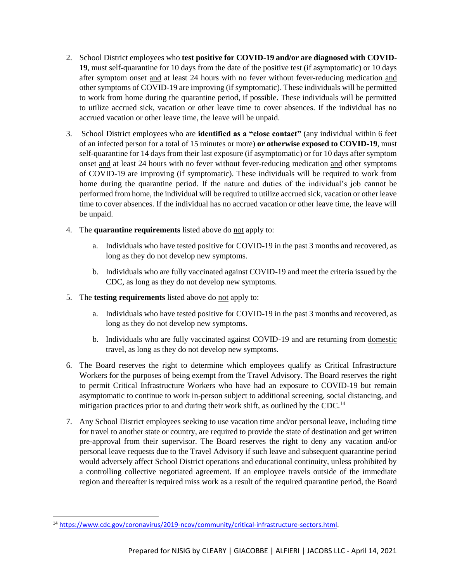- 2. School District employees who **test positive for COVID-19 and/or are diagnosed with COVID-19**, must self-quarantine for 10 days from the date of the positive test (if asymptomatic) or 10 days after symptom onset and at least 24 hours with no fever without fever-reducing medication and other symptoms of COVID-19 are improving (if symptomatic). These individuals will be permitted to work from home during the quarantine period, if possible. These individuals will be permitted to utilize accrued sick, vacation or other leave time to cover absences. If the individual has no accrued vacation or other leave time, the leave will be unpaid.
- 3. School District employees who are **identified as a "close contact"** (any individual within 6 feet of an infected person for a total of 15 minutes or more) **or otherwise exposed to COVID-19**, must self-quarantine for 14 days from their last exposure (if asymptomatic) or for 10 days after symptom onset and at least 24 hours with no fever without fever-reducing medication and other symptoms of COVID-19 are improving (if symptomatic). These individuals will be required to work from home during the quarantine period. If the nature and duties of the individual's job cannot be performed from home, the individual will be required to utilize accrued sick, vacation or other leave time to cover absences. If the individual has no accrued vacation or other leave time, the leave will be unpaid.
- 4. The **quarantine requirements** listed above do not apply to:
	- a. Individuals who have tested positive for COVID-19 in the past 3 months and recovered, as long as they do not develop new symptoms.
	- b. Individuals who are fully vaccinated against COVID-19 and meet the criteria issued by the CDC, as long as they do not develop new symptoms.
- 5. The **testing requirements** listed above do not apply to:
	- a. Individuals who have tested positive for COVID-19 in the past 3 months and recovered, as long as they do not develop new symptoms.
	- b. Individuals who are fully vaccinated against COVID-19 and are returning from domestic travel, as long as they do not develop new symptoms.
- 6. The Board reserves the right to determine which employees qualify as Critical Infrastructure Workers for the purposes of being exempt from the Travel Advisory. The Board reserves the right to permit Critical Infrastructure Workers who have had an exposure to COVID-19 but remain asymptomatic to continue to work in-person subject to additional screening, social distancing, and mitigation practices prior to and during their work shift, as outlined by the CDC.<sup>14</sup>
- 7. Any School District employees seeking to use vacation time and/or personal leave, including time for travel to another state or country, are required to provide the state of destination and get written pre-approval from their supervisor. The Board reserves the right to deny any vacation and/or personal leave requests due to the Travel Advisory if such leave and subsequent quarantine period would adversely affect School District operations and educational continuity, unless prohibited by a controlling collective negotiated agreement. If an employee travels outside of the immediate region and thereafter is required miss work as a result of the required quarantine period, the Board

<sup>14</sup> [https://www.cdc.gov/coronavirus/2019-ncov/community/critical-infrastructure-sectors.html.](https://www.cdc.gov/coronavirus/2019-ncov/community/critical-infrastructure-sectors.html)